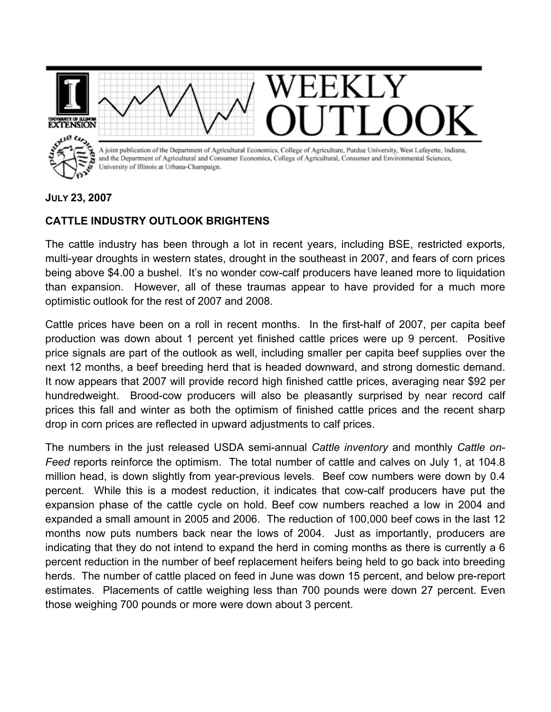

## **JULY 23, 2007**

## **CATTLE INDUSTRY OUTLOOK BRIGHTENS**

The cattle industry has been through a lot in recent years, including BSE, restricted exports, multi-year droughts in western states, drought in the southeast in 2007, and fears of corn prices being above \$4.00 a bushel. It's no wonder cow-calf producers have leaned more to liquidation than expansion. However, all of these traumas appear to have provided for a much more optimistic outlook for the rest of 2007 and 2008.

Cattle prices have been on a roll in recent months. In the first-half of 2007, per capita beef production was down about 1 percent yet finished cattle prices were up 9 percent. Positive price signals are part of the outlook as well, including smaller per capita beef supplies over the next 12 months, a beef breeding herd that is headed downward, and strong domestic demand. It now appears that 2007 will provide record high finished cattle prices, averaging near \$92 per hundredweight. Brood-cow producers will also be pleasantly surprised by near record calf prices this fall and winter as both the optimism of finished cattle prices and the recent sharp drop in corn prices are reflected in upward adjustments to calf prices.

The numbers in the just released USDA semi-annual *Cattle inventory* and monthly *Cattle on-Feed* reports reinforce the optimism. The total number of cattle and calves on July 1, at 104.8 million head, is down slightly from year-previous levels. Beef cow numbers were down by 0.4 percent. While this is a modest reduction, it indicates that cow-calf producers have put the expansion phase of the cattle cycle on hold. Beef cow numbers reached a low in 2004 and expanded a small amount in 2005 and 2006. The reduction of 100,000 beef cows in the last 12 months now puts numbers back near the lows of 2004. Just as importantly, producers are indicating that they do not intend to expand the herd in coming months as there is currently a 6 percent reduction in the number of beef replacement heifers being held to go back into breeding herds. The number of cattle placed on feed in June was down 15 percent, and below pre-report estimates. Placements of cattle weighing less than 700 pounds were down 27 percent. Even those weighing 700 pounds or more were down about 3 percent.